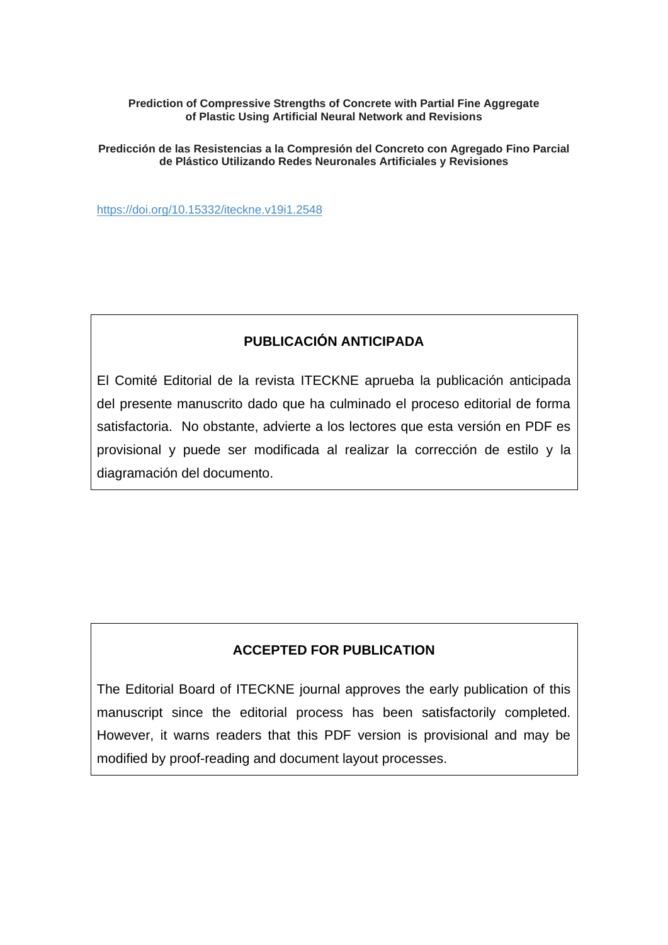### **Prediction of Compressive Strengths of Concrete with Partial Fine Aggregate of Plastic Using Artificial Neural Network and Revisions**

**Predicción de las Resistencias a la Compresión del Concreto con Agregado Fino Parcial de Plástico Utilizando Redes Neuronales Artificiales y Revisiones**

<https://doi.org/10.15332/iteckne.v19i1.2548>

# **PUBLICACIÓN ANTICIPADA**

El Comité Editorial de la revista ITECKNE aprueba la publicación anticipada del presente manuscrito dado que ha culminado el proceso editorial de forma satisfactoria. No obstante, advierte a los lectores que esta versión en PDF es provisional y puede ser modificada al realizar la corrección de estilo y la diagramación del documento.

# **ACCEPTED FOR PUBLICATION**

The Editorial Board of ITECKNE journal approves the early publication of this manuscript since the editorial process has been satisfactorily completed. However, it warns readers that this PDF version is provisional and may be modified by proof-reading and document layout processes.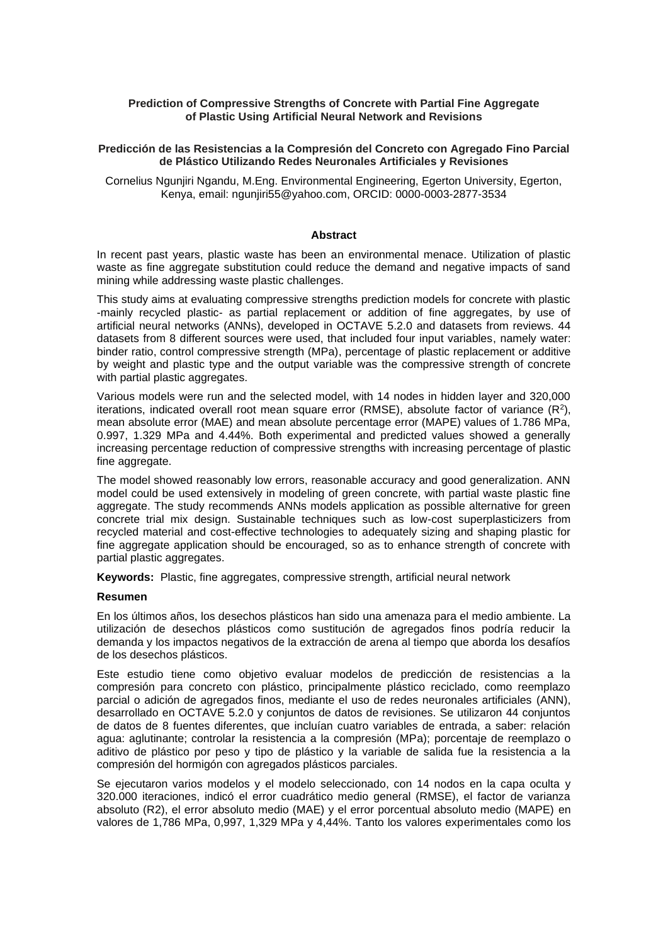#### **Prediction of Compressive Strengths of Concrete with Partial Fine Aggregate of Plastic Using Artificial Neural Network and Revisions**

#### **Predicción de las Resistencias a la Compresión del Concreto con Agregado Fino Parcial de Plástico Utilizando Redes Neuronales Artificiales y Revisiones**

Cornelius Ngunjiri Ngandu, M.Eng. Environmental Engineering, Egerton University, Egerton, Kenya, email: [ngunjiri55@yahoo.com,](mailto:ngunjiri55@yahoo.com) ORCID: 0000-0003-2877-3534

#### **Abstract**

In recent past years, plastic waste has been an environmental menace. Utilization of plastic waste as fine aggregate substitution could reduce the demand and negative impacts of sand mining while addressing waste plastic challenges.

This study aims at evaluating compressive strengths prediction models for concrete with plastic -mainly recycled plastic- as partial replacement or addition of fine aggregates, by use of artificial neural networks (ANNs), developed in OCTAVE 5.2.0 and datasets from reviews. 44 datasets from 8 different sources were used, that included four input variables, namely water: binder ratio, control compressive strength (MPa), percentage of plastic replacement or additive by weight and plastic type and the output variable was the compressive strength of concrete with partial plastic aggregates.

Various models were run and the selected model, with 14 nodes in hidden layer and 320,000 iterations, indicated overall root mean square error (RMSE), absolute factor of variance  $(R^2)$ , mean absolute error (MAE) and mean absolute percentage error (MAPE) values of 1.786 MPa, 0.997, 1.329 MPa and 4.44%. Both experimental and predicted values showed a generally increasing percentage reduction of compressive strengths with increasing percentage of plastic fine aggregate.

The model showed reasonably low errors, reasonable accuracy and good generalization. ANN model could be used extensively in modeling of green concrete, with partial waste plastic fine aggregate. The study recommends ANNs models application as possible alternative for green concrete trial mix design. Sustainable techniques such as low-cost superplasticizers from recycled material and cost-effective technologies to adequately sizing and shaping plastic for fine aggregate application should be encouraged, so as to enhance strength of concrete with partial plastic aggregates.

**Keywords:** Plastic, fine aggregates, compressive strength, artificial neural network

#### **Resumen**

En los últimos años, los desechos plásticos han sido una amenaza para el medio ambiente. La utilización de desechos plásticos como sustitución de agregados finos podría reducir la demanda y los impactos negativos de la extracción de arena al tiempo que aborda los desafíos de los desechos plásticos.

Este estudio tiene como objetivo evaluar modelos de predicción de resistencias a la compresión para concreto con plástico, principalmente plástico reciclado, como reemplazo parcial o adición de agregados finos, mediante el uso de redes neuronales artificiales (ANN), desarrollado en OCTAVE 5.2.0 y conjuntos de datos de revisiones. Se utilizaron 44 conjuntos de datos de 8 fuentes diferentes, que incluían cuatro variables de entrada, a saber: relación agua: aglutinante; controlar la resistencia a la compresión (MPa); porcentaje de reemplazo o aditivo de plástico por peso y tipo de plástico y la variable de salida fue la resistencia a la compresión del hormigón con agregados plásticos parciales.

Se ejecutaron varios modelos y el modelo seleccionado, con 14 nodos en la capa oculta y 320.000 iteraciones, indicó el error cuadrático medio general (RMSE), el factor de varianza absoluto (R2), el error absoluto medio (MAE) y el error porcentual absoluto medio (MAPE) en valores de 1,786 MPa, 0,997, 1,329 MPa y 4,44%. Tanto los valores experimentales como los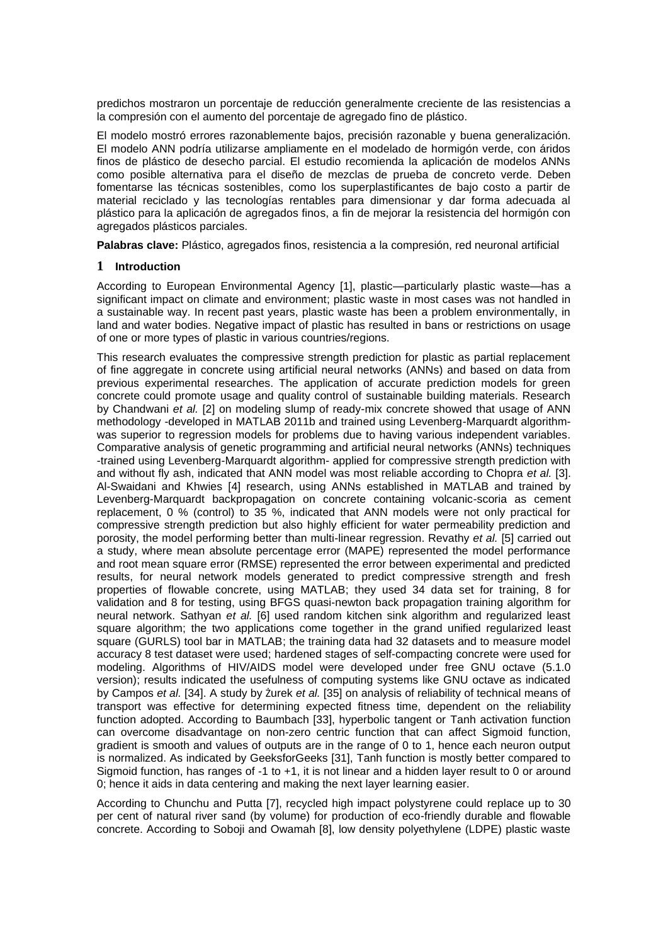predichos mostraron un porcentaje de reducción generalmente creciente de las resistencias a la compresión con el aumento del porcentaje de agregado fino de plástico.

El modelo mostró errores razonablemente bajos, precisión razonable y buena generalización. El modelo ANN podría utilizarse ampliamente en el modelado de hormigón verde, con áridos finos de plástico de desecho parcial. El estudio recomienda la aplicación de modelos ANNs como posible alternativa para el diseño de mezclas de prueba de concreto verde. Deben fomentarse las técnicas sostenibles, como los superplastificantes de bajo costo a partir de material reciclado y las tecnologías rentables para dimensionar y dar forma adecuada al plástico para la aplicación de agregados finos, a fin de mejorar la resistencia del hormigón con agregados plásticos parciales.

**Palabras clave:** Plástico, agregados finos, resistencia a la compresión, red neuronal artificial

#### **1 Introduction**

According to European Environmental Agency [1], plastic—particularly plastic waste—has a significant impact on climate and environment; plastic waste in most cases was not handled in a sustainable way. In recent past years, plastic waste has been a problem environmentally, in land and water bodies. Negative impact of plastic has resulted in bans or restrictions on usage of one or more types of plastic in various countries/regions.

This research evaluates the compressive strength prediction for plastic as partial replacement of fine aggregate in concrete using artificial neural networks (ANNs) and based on data from previous experimental researches. The application of accurate prediction models for green concrete could promote usage and quality control of sustainable building materials. Research by Chandwani *et al.* [2] on modeling slump of ready-mix concrete showed that usage of ANN methodology -developed in MATLAB 2011b and trained using Levenberg-Marquardt algorithmwas superior to regression models for problems due to having various independent variables. Comparative analysis of genetic programming and artificial neural networks (ANNs) techniques -trained using Levenberg-Marquardt algorithm- applied for compressive strength prediction with and without fly ash, indicated that ANN model was most reliable according to Chopra *et al.* [3]. Al-Swaidani and Khwies [4] research, using ANNs established in MATLAB and trained by Levenberg-Marquardt backpropagation on concrete containing volcanic-scoria as cement replacement, 0 % (control) to 35 %, indicated that ANN models were not only practical for compressive strength prediction but also highly efficient for water permeability prediction and porosity, the model performing better than multi-linear regression. Revathy *et al.* [5] carried out a study, where mean absolute percentage error (MAPE) represented the model performance and root mean square error (RMSE) represented the error between experimental and predicted results, for neural network models generated to predict compressive strength and fresh properties of flowable concrete, using MATLAB; they used 34 data set for training, 8 for validation and 8 for testing, using BFGS quasi-newton back propagation training algorithm for neural network. Sathyan *et al.* [6] used random kitchen sink algorithm and regularized least square algorithm; the two applications come together in the grand unified regularized least square (GURLS) tool bar in MATLAB; the training data had 32 datasets and to measure model accuracy 8 test dataset were used; hardened stages of self-compacting concrete were used for modeling. Algorithms of HIV/AIDS model were developed under free GNU octave (5.1.0 version); results indicated the usefulness of computing systems like GNU octave as indicated by Campos *et al.* [34]. A study by Żurek *et al.* [35] on analysis of reliability of technical means of transport was effective for determining expected fitness time, dependent on the reliability function adopted. According to Baumbach [33], hyperbolic tangent or Tanh activation function can overcome disadvantage on non-zero centric function that can affect Sigmoid function, gradient is smooth and values of outputs are in the range of 0 to 1, hence each neuron output is normalized. As indicated by GeeksforGeeks [31], Tanh function is mostly better compared to Sigmoid function, has ranges of -1 to +1, it is not linear and a hidden layer result to 0 or around 0; hence it aids in data centering and making the next layer learning easier.

According to Chunchu and Putta [7], recycled high impact polystyrene could replace up to 30 per cent of natural river sand (by volume) for production of eco-friendly durable and flowable concrete. According to Soboji and Owamah [8], low density polyethylene (LDPE) plastic waste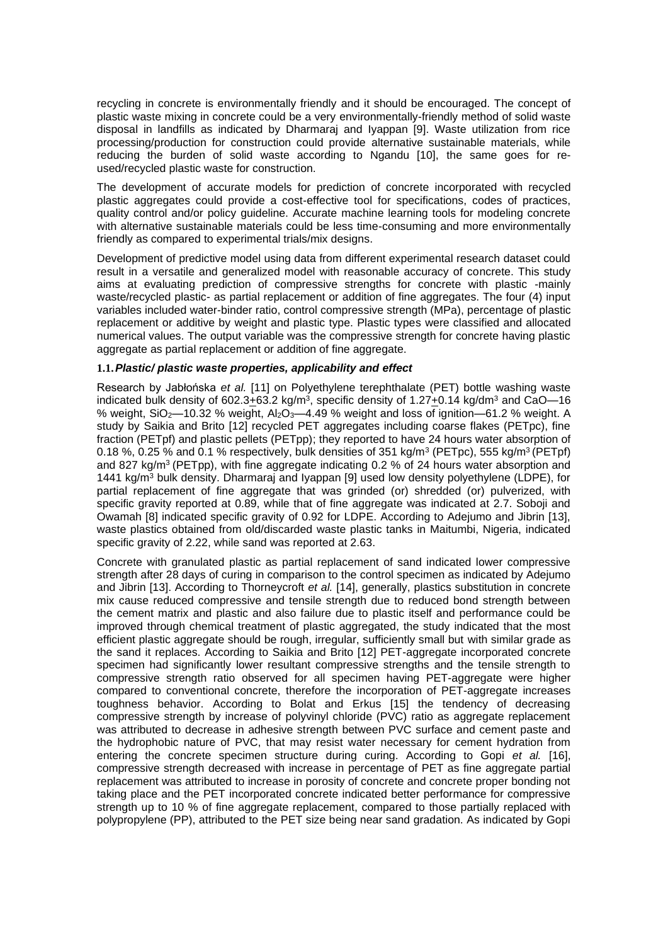recycling in concrete is environmentally friendly and it should be encouraged. The concept of plastic waste mixing in concrete could be a very environmentally-friendly method of solid waste disposal in landfills as indicated by Dharmaraj and Iyappan [9]. Waste utilization from rice processing/production for construction could provide alternative sustainable materials, while reducing the burden of solid waste according to Ngandu [10], the same goes for reused/recycled plastic waste for construction.

The development of accurate models for prediction of concrete incorporated with recycled plastic aggregates could provide a cost-effective tool for specifications, codes of practices, quality control and/or policy guideline. Accurate machine learning tools for modeling concrete with alternative sustainable materials could be less time-consuming and more environmentally friendly as compared to experimental trials/mix designs.

Development of predictive model using data from different experimental research dataset could result in a versatile and generalized model with reasonable accuracy of concrete. This study aims at evaluating prediction of compressive strengths for concrete with plastic -mainly waste/recycled plastic- as partial replacement or addition of fine aggregates. The four (4) input variables included water-binder ratio, control compressive strength (MPa), percentage of plastic replacement or additive by weight and plastic type. Plastic types were classified and allocated numerical values. The output variable was the compressive strength for concrete having plastic aggregate as partial replacement or addition of fine aggregate.

#### **1.1.***Plastic/ plastic waste properties, applicability and effect*

Research by Jabłońska *et al.* [11] on Polyethylene terephthalate (PET) bottle washing waste indicated bulk density of 602.3 $\pm$ 63.2 kg/m<sup>3</sup>, specific density of 1.27 $\pm$ 0.14 kg/dm<sup>3</sup> and CaO—16 % weight,  $SiO_2$ —10.32 % weight,  $Al_2O_3$ —4.49 % weight and loss of ignition—61.2 % weight. A study by Saikia and Brito [12] recycled PET aggregates including coarse flakes (PETpc), fine fraction (PETpf) and plastic pellets (PETpp); they reported to have 24 hours water absorption of 0.18 %, 0.25 % and 0.1 % respectively, bulk densities of 351 kg/m<sup>3</sup> (PETpc), 555 kg/m<sup>3</sup> (PETpf) and 827 kg/m<sup>3</sup>(PETpp), with fine aggregate indicating 0.2 % of 24 hours water absorption and 1441 kg/m<sup>3</sup> bulk density. Dharmaraj and Iyappan [9] used low density polyethylene (LDPE), for partial replacement of fine aggregate that was grinded (or) shredded (or) pulverized, with specific gravity reported at 0.89, while that of fine aggregate was indicated at 2.7. Soboji and Owamah [8] indicated specific gravity of 0.92 for LDPE. According to Adejumo and Jibrin [13], waste plastics obtained from old/discarded waste plastic tanks in Maitumbi, Nigeria, indicated specific gravity of 2.22, while sand was reported at 2.63.

Concrete with granulated plastic as partial replacement of sand indicated lower compressive strength after 28 days of curing in comparison to the control specimen as indicated by Adejumo and Jibrin [13]. According to Thorneycroft *et al.* [14], generally, plastics substitution in concrete mix cause reduced compressive and tensile strength due to reduced bond strength between the cement matrix and plastic and also failure due to plastic itself and performance could be improved through chemical treatment of plastic aggregated, the study indicated that the most efficient plastic aggregate should be rough, irregular, sufficiently small but with similar grade as the sand it replaces. According to Saikia and Brito [12] PET-aggregate incorporated concrete specimen had significantly lower resultant compressive strengths and the tensile strength to compressive strength ratio observed for all specimen having PET-aggregate were higher compared to conventional concrete, therefore the incorporation of PET-aggregate increases toughness behavior. According to Bolat and Erkus [15] the tendency of decreasing compressive strength by increase of polyvinyl chloride (PVC) ratio as aggregate replacement was attributed to decrease in adhesive strength between PVC surface and cement paste and the hydrophobic nature of PVC, that may resist water necessary for cement hydration from entering the concrete specimen structure during curing. According to Gopi *et al.* [16], compressive strength decreased with increase in percentage of PET as fine aggregate partial replacement was attributed to increase in porosity of concrete and concrete proper bonding not taking place and the PET incorporated concrete indicated better performance for compressive strength up to 10 % of fine aggregate replacement, compared to those partially replaced with polypropylene (PP), attributed to the PET size being near sand gradation. As indicated by Gopi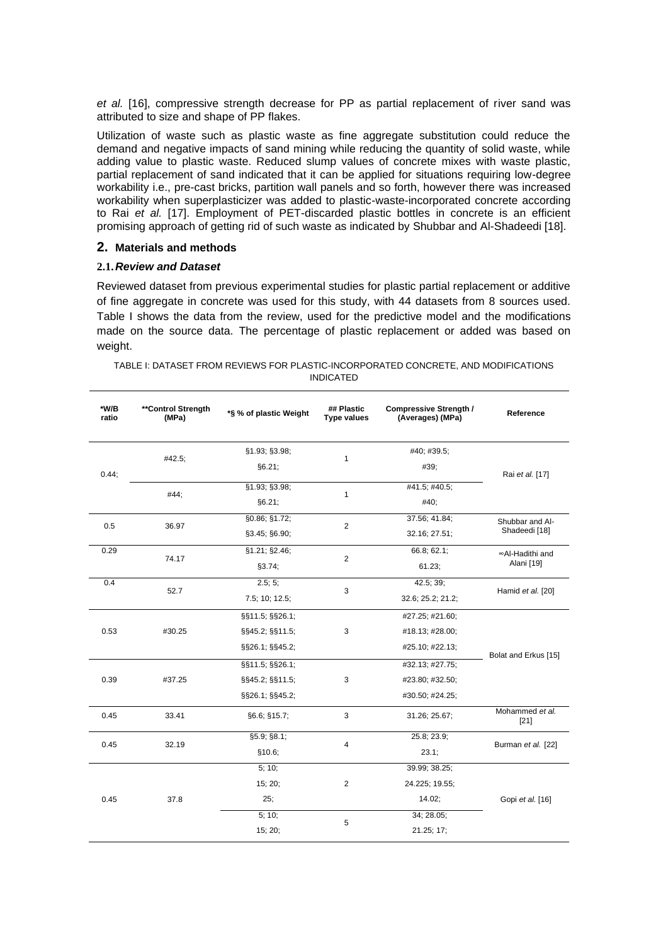*et al.* [16], compressive strength decrease for PP as partial replacement of river sand was attributed to size and shape of PP flakes.

Utilization of waste such as plastic waste as fine aggregate substitution could reduce the demand and negative impacts of sand mining while reducing the quantity of solid waste, while adding value to plastic waste. Reduced slump values of concrete mixes with waste plastic, partial replacement of sand indicated that it can be applied for situations requiring low-degree workability i.e., pre-cast bricks, partition wall panels and so forth, however there was increased workability when superplasticizer was added to plastic-waste-incorporated concrete according to Rai *et al.* [17]. Employment of PET-discarded plastic bottles in concrete is an efficient promising approach of getting rid of such waste as indicated by Shubbar and Al-Shadeedi [18].

### **2. Materials and methods**

#### **2.1.***Review and Dataset*

Reviewed dataset from previous experimental studies for plastic partial replacement or additive of fine aggregate in concrete was used for this study, with 44 datasets from 8 sources used. Table I shows the data from the review, used for the predictive model and the modifications made on the source data. The percentage of plastic replacement or added was based on weight.

| TABLE I: DATASET FROM REVIEWS FOR PLASTIC-INCORPORATED CONCRETE. AND MODIFICATIONS |
|------------------------------------------------------------------------------------|
| <b>INDICATED</b>                                                                   |

| *W/B<br>ratio | **Control Strength<br>(MPa) | *§ % of plastic Weight | ## Plastic<br><b>Type values</b> | <b>Compressive Strength /</b><br>(Averages) (MPa) | Reference                                                                                                                     |  |
|---------------|-----------------------------|------------------------|----------------------------------|---------------------------------------------------|-------------------------------------------------------------------------------------------------------------------------------|--|
|               |                             | §1.93; §3.98;          |                                  | #40; #39.5;                                       |                                                                                                                               |  |
| 0.44;         | #42.5;                      | §6.21;                 | 1                                | #39;                                              |                                                                                                                               |  |
|               |                             | §1.93; §3.98;          |                                  | #41.5; #40.5;                                     |                                                                                                                               |  |
|               | #44;                        | §6.21;                 | 1                                | #40;                                              |                                                                                                                               |  |
|               |                             | §0.86; §1.72;          |                                  | 37.56; 41.84;                                     | Shubbar and Al-                                                                                                               |  |
| 0.5           | 36.97                       | §3.45; §6.90;          | 2                                | 32.16; 27.51;                                     | Shadeedi [18]                                                                                                                 |  |
| 0.29          |                             | \$1.21; \$2.46;        |                                  | 66.8; 62.1;                                       | ∞Al-Hadithi and                                                                                                               |  |
|               | 74.17                       | §3.74;                 | $\overline{2}$                   | 61.23;                                            | Rai et al. [17]<br>Alani [19]<br>Hamid et al. [20]<br>Bolat and Erkus [15]<br>Mohammed et al.<br>$[21]$<br>Burman et al. [22] |  |
| 0.4           |                             | 2.5; 5;                |                                  | 42.5; 39;                                         |                                                                                                                               |  |
|               | 52.7                        | 7.5; 10; 12.5;         | 3                                | 32.6; 25.2; 21.2;                                 |                                                                                                                               |  |
|               |                             | §§11.5; §§26.1;        |                                  | #27.25; #21.60;                                   |                                                                                                                               |  |
| 0.53          | #30.25                      | §§45.2; §§11.5;        | 3                                | #18.13; #28.00;                                   |                                                                                                                               |  |
|               |                             | §§26.1; §§45.2;        |                                  | #25.10; #22.13;                                   |                                                                                                                               |  |
|               |                             | §§11.5; §§26.1;        |                                  | #32.13; #27.75;                                   |                                                                                                                               |  |
| 0.39          | #37.25                      | §§45.2; §§11.5;        | 3                                | #23.80; #32.50;                                   |                                                                                                                               |  |
|               |                             | §§26.1; §§45.2;        |                                  | #30.50; #24.25;                                   |                                                                                                                               |  |
| 0.45          | 33.41                       | §6.6; §15.7;           | 3                                | 31.26; 25.67;                                     |                                                                                                                               |  |
|               |                             | §5.9; §8.1;            |                                  | 25.8; 23.9;                                       |                                                                                                                               |  |
| 0.45          | 32.19                       | \$10.6;                | 4                                | 23.1;                                             |                                                                                                                               |  |
|               |                             | 5; 10;                 |                                  | 39.99; 38.25;                                     |                                                                                                                               |  |
|               |                             | 15; 20;                | $\overline{c}$                   | 24.225; 19.55;                                    |                                                                                                                               |  |
| 0.45          | 37.8                        | 25;<br>14.02;          |                                  | Gopi et al. [16]                                  |                                                                                                                               |  |
|               |                             | 5; 10;                 |                                  | 34; 28.05;                                        |                                                                                                                               |  |
|               |                             | 15; 20;                | 5                                | 21.25; 17;                                        |                                                                                                                               |  |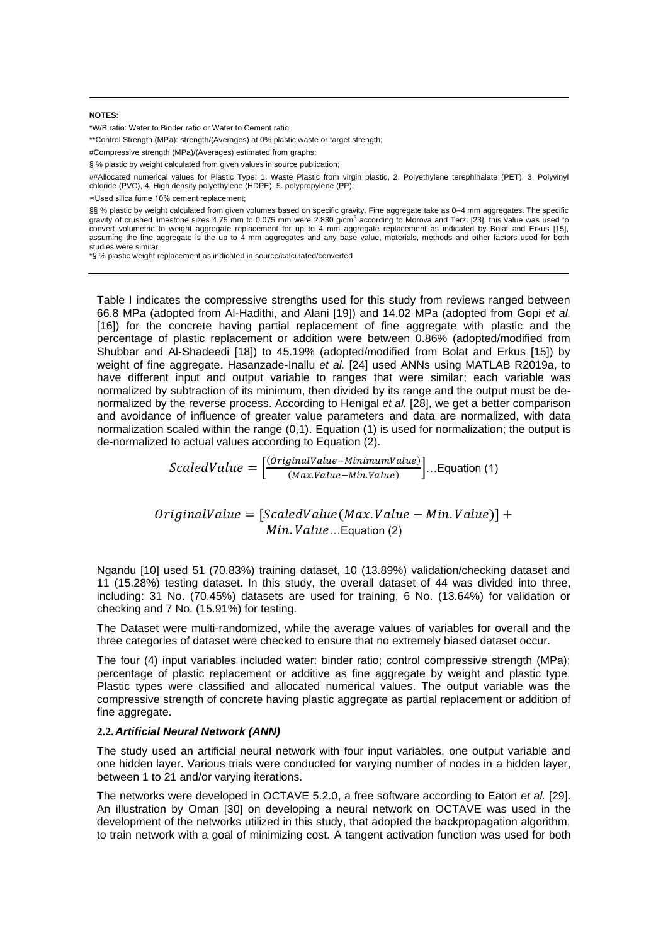#### **NOTES:**

\*W/B ratio: Water to Binder ratio or Water to Cement ratio;

\*\*Control Strength (MPa): strength/(Averages) at 0% plastic waste or target strength;

#Compressive strength (MPa)/(Averages) estimated from graphs;

§ % plastic by weight calculated from given values in source publication;

##Allocated numerical values for Plastic Type: 1. Waste Plastic from virgin plastic, 2. Polyethylene terephlhalate (PET), 3. Polyvinyl chloride (PVC), 4. High density polyethylene (HDPE), 5. polypropylene (PP);

∞Used silica fume 10% cement replacement;

§§ % plastic by weight calculated from given volumes based on specific gravity. Fine aggregate take as 0-4 mm aggregates. The specific gravity of crushed limestone sizes  $4.75$  mm to  $0.075$  mm were  $2.830$  g/cm<sup>3</sup> according to Morova and Terzi [23], this value was used to convert volumetric to weight aggregate replacement for up to 4 mm aggregate replacement as indicated by Bolat and Erkus [15], assuming the fine aggregate is the up to 4 mm aggregates and any base value, materials, methods and other factors used for both studies were similar;

\*§ % plastic weight replacement as indicated in source/calculated/converted

Table I indicates the compressive strengths used for this study from reviews ranged between 66.8 MPa (adopted from Al-Hadithi, and Alani [19]) and 14.02 MPa (adopted from Gopi *et al.*  [16]) for the concrete having partial replacement of fine aggregate with plastic and the percentage of plastic replacement or addition were between 0.86% (adopted/modified from Shubbar and Al-Shadeedi [18]) to 45.19% (adopted/modified from Bolat and Erkus [15]) by weight of fine aggregate. Hasanzade-Inallu *et al.* [24] used ANNs using MATLAB R2019a, to have different input and output variable to ranges that were similar; each variable was normalized by subtraction of its minimum, then divided by its range and the output must be denormalized by the reverse process. According to Henigal *et al.* [28], we get a better comparison and avoidance of influence of greater value parameters and data are normalized, with data normalization scaled within the range (0,1). Equation (1) is used for normalization; the output is de-normalized to actual values according to Equation (2).

> $ScaledValue = \frac{[OriginalValue - MinimumValue)}{(MaxValue - Mixture + Mixture)}$  $\left[\frac{(MaxValue - Min.Value)}{(Max.Value - Min.Value)}\right]$ ... Equation (1)

 $OriginalValue = [ScaledValue(Max, Value - Min, Value)] +$  $Min. Value...$ Equation (2)

Ngandu [10] used 51 (70.83%) training dataset, 10 (13.89%) validation/checking dataset and 11 (15.28%) testing dataset. In this study, the overall dataset of 44 was divided into three, including: 31 No. (70.45%) datasets are used for training, 6 No. (13.64%) for validation or checking and 7 No. (15.91%) for testing.

The Dataset were multi-randomized, while the average values of variables for overall and the three categories of dataset were checked to ensure that no extremely biased dataset occur.

The four (4) input variables included water: binder ratio; control compressive strength (MPa); percentage of plastic replacement or additive as fine aggregate by weight and plastic type. Plastic types were classified and allocated numerical values. The output variable was the compressive strength of concrete having plastic aggregate as partial replacement or addition of fine aggregate.

#### **2.2.***Artificial Neural Network (ANN)*

The study used an artificial neural network with four input variables, one output variable and one hidden layer. Various trials were conducted for varying number of nodes in a hidden layer, between 1 to 21 and/or varying iterations.

The networks were developed in OCTAVE 5.2.0, a free software according to Eaton *et al.* [29]. An illustration by Oman [30] on developing a neural network on OCTAVE was used in the development of the networks utilized in this study, that adopted the backpropagation algorithm, to train network with a goal of minimizing cost. A tangent activation function was used for both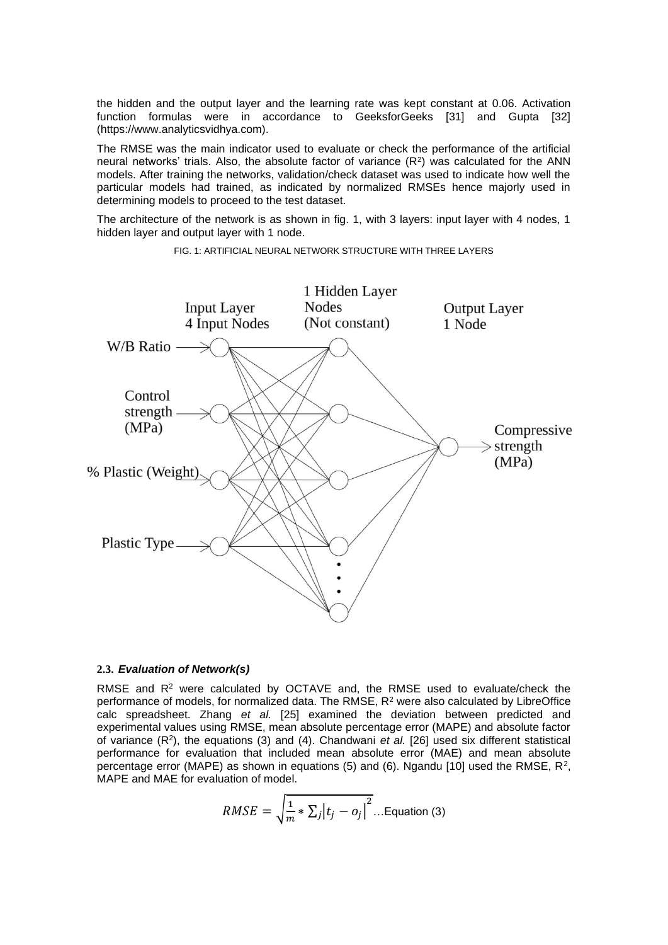the hidden and the output layer and the learning rate was kept constant at 0.06. Activation function formulas were in accordance to GeeksforGeeks [31] and Gupta [32] (https://www.analyticsvidhya.com).

The RMSE was the main indicator used to evaluate or check the performance of the artificial neural networks' trials. Also, the absolute factor of variance  $(R^2)$  was calculated for the ANN models. After training the networks, validation/check dataset was used to indicate how well the particular models had trained, as indicated by normalized RMSEs hence majorly used in determining models to proceed to the test dataset.

The architecture of the network is as shown in fig. 1, with 3 layers: input layer with 4 nodes, 1 hidden layer and output layer with 1 node.



FIG. 1: ARTIFICIAL NEURAL NETWORK STRUCTURE WITH THREE LAYERS

#### **2.3.** *Evaluation of Network(s)*

RMSE and R<sup>2</sup> were calculated by OCTAVE and, the RMSE used to evaluate/check the performance of models, for normalized data. The RMSE, R<sup>2</sup> were also calculated by LibreOffice calc spreadsheet. Zhang *et al.* [25] examined the deviation between predicted and experimental values using RMSE, mean absolute percentage error (MAPE) and absolute factor of variance (R<sup>2</sup>), the equations (3) and (4). Chandwani *et al.* [26] used six different statistical performance for evaluation that included mean absolute error (MAE) and mean absolute percentage error (MAPE) as shown in equations (5) and (6). Ngandu [10] used the RMSE,  $R^2$ , MAPE and MAE for evaluation of model.

$$
RMSE = \sqrt{\frac{1}{m} * \sum_j |t_j - o_j|^2} \dots \text{Equation (3)}
$$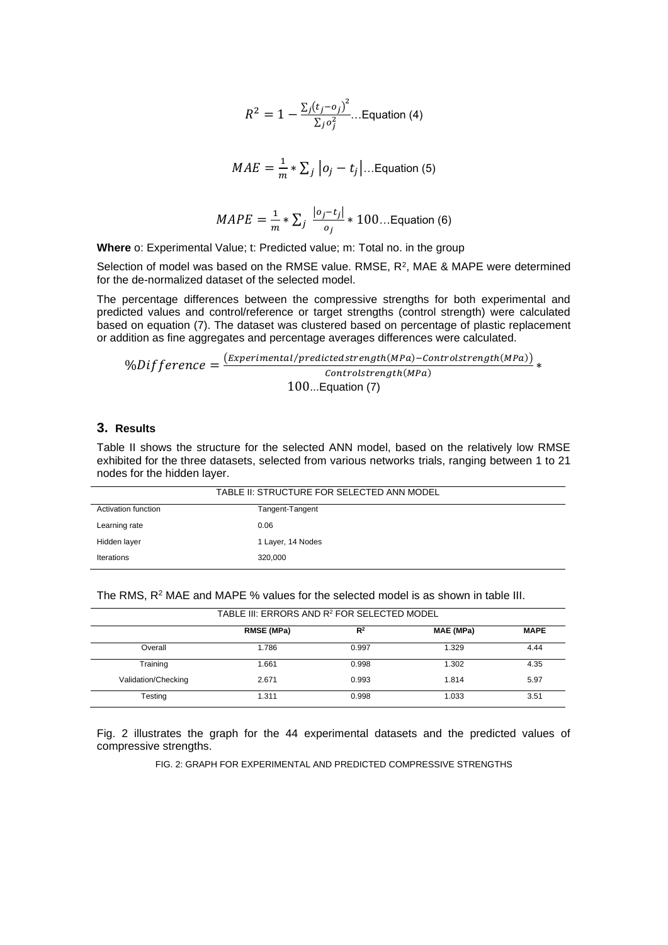$$
R^{2} = 1 - \frac{\sum_{j} (t_{j} - o_{j})^{2}}{\sum_{j} o_{j}^{2}} \dots \text{Equation (4)}
$$

$$
MAE = \frac{1}{m} * \sum_j |o_j - t_j| \dots \text{Equation (5)}
$$

$$
MAPE = \frac{1}{m} * \sum_{j} \frac{|o_j - t_j|}{o_j} * 100... \text{Equation (6)}
$$

**Where** o: Experimental Value; t: Predicted value; m: Total no. in the group

Selection of model was based on the RMSE value. RMSE,  $R^2$ , MAE & MAPE were determined for the de-normalized dataset of the selected model.

The percentage differences between the compressive strengths for both experimental and predicted values and control/reference or target strengths (control strength) were calculated based on equation (7). The dataset was clustered based on percentage of plastic replacement or addition as fine aggregates and percentage averages differences were calculated.

$$
\%Different{o} = \frac{(Experimental/predicted strength(MPa) - Control strength(MPa))}{Control strength(MPa)} * \frac{100...Equation(7)}
$$

### **3. Results**

Table II shows the structure for the selected ANN model, based on the relatively low RMSE exhibited for the three datasets, selected from various networks trials, ranging between 1 to 21 nodes for the hidden layer.

| TABLE II: STRUCTURE FOR SELECTED ANN MODEL |                   |  |  |  |
|--------------------------------------------|-------------------|--|--|--|
| Activation function                        | Tangent-Tangent   |  |  |  |
| Learning rate                              | 0.06              |  |  |  |
| Hidden layer                               | 1 Layer, 14 Nodes |  |  |  |
| Iterations                                 | 320,000           |  |  |  |

| TABLE III: ERRORS AND R <sup>2</sup> FOR SELECTED MODEL |                   |                |           |             |
|---------------------------------------------------------|-------------------|----------------|-----------|-------------|
|                                                         | <b>RMSE (MPa)</b> | R <sup>2</sup> | MAE (MPa) | <b>MAPE</b> |
| Overall                                                 | 1.786             | 0.997          | 1.329     | 4.44        |
| Training                                                | 1.661             | 0.998          | 1.302     | 4.35        |
| Validation/Checking                                     | 2.671             | 0.993          | 1.814     | 5.97        |
| Testing                                                 | 1.311             | 0.998          | 1.033     | 3.51        |

The RMS,  $R^2$  MAE and MAPE % values for the selected model is as shown in table III.

Fig. 2 illustrates the graph for the 44 experimental datasets and the predicted values of compressive strengths.

FIG. 2: GRAPH FOR EXPERIMENTAL AND PREDICTED COMPRESSIVE STRENGTHS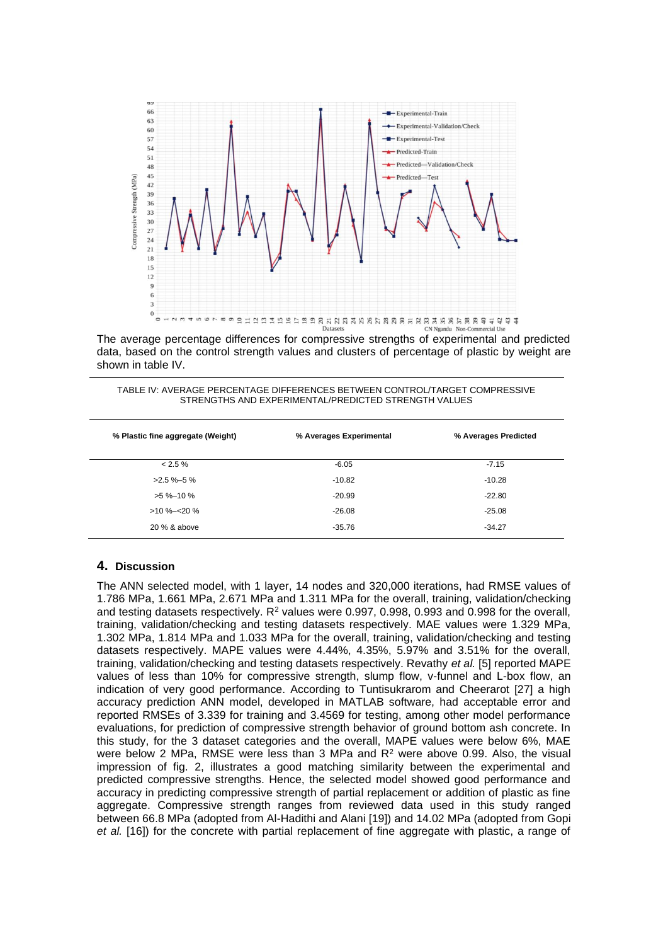

The average percentage differences for compressive strengths of experimental and predicted data, based on the control strength values and clusters of percentage of plastic by weight are shown in table IV.

| TABLE IV: AVERAGE PERCENTAGE DIFFERENCES BETWEEN CONTROL/TARGET COMPRESSIVE |
|-----------------------------------------------------------------------------|
| STRENGTHS AND EXPERIMENTAL/PREDICTED STRENGTH VALUES                        |

| % Plastic fine aggregate (Weight) | % Averages Experimental | % Averages Predicted |
|-----------------------------------|-------------------------|----------------------|
| $< 2.5 \%$                        | $-6.05$                 | $-7.15$              |
| $>2.5 \%$ -5%                     | $-10.82$                | $-10.28$             |
| $>5\% - 10\%$                     | $-20.99$                | $-22.80$             |
| $>10\% - 20\%$                    | $-26.08$                | $-25.08$             |
| 20 % & above                      | $-35.76$                | $-34.27$             |

#### **4. Discussion**

The ANN selected model, with 1 layer, 14 nodes and 320,000 iterations, had RMSE values of 1.786 MPa, 1.661 MPa, 2.671 MPa and 1.311 MPa for the overall, training, validation/checking and testing datasets respectively.  $R^2$  values were 0.997, 0.998, 0.993 and 0.998 for the overall, training, validation/checking and testing datasets respectively. MAE values were 1.329 MPa, 1.302 MPa, 1.814 MPa and 1.033 MPa for the overall, training, validation/checking and testing datasets respectively. MAPE values were 4.44%, 4.35%, 5.97% and 3.51% for the overall, training, validation/checking and testing datasets respectively. Revathy *et al.* [5] reported MAPE values of less than 10% for compressive strength, slump flow, v-funnel and L-box flow, an indication of very good performance. According to Tuntisukrarom and Cheerarot [27] a high accuracy prediction ANN model, developed in MATLAB software, had acceptable error and reported RMSEs of 3.339 for training and 3.4569 for testing, among other model performance evaluations, for prediction of compressive strength behavior of ground bottom ash concrete. In this study, for the 3 dataset categories and the overall, MAPE values were below 6%, MAE were below 2 MPa, RMSE were less than 3 MPa and  $R<sup>2</sup>$  were above 0.99. Also, the visual impression of fig. 2, illustrates a good matching similarity between the experimental and predicted compressive strengths. Hence, the selected model showed good performance and accuracy in predicting compressive strength of partial replacement or addition of plastic as fine aggregate. Compressive strength ranges from reviewed data used in this study ranged between 66.8 MPa (adopted from Al-Hadithi and Alani [19]) and 14.02 MPa (adopted from Gopi *et al.* [16]) for the concrete with partial replacement of fine aggregate with plastic, a range of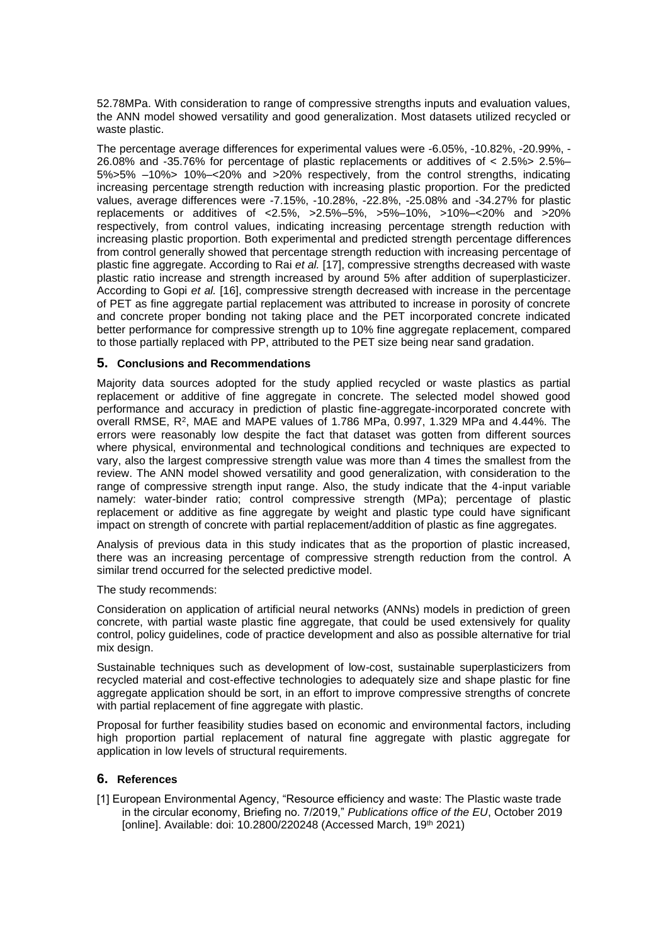52.78MPa. With consideration to range of compressive strengths inputs and evaluation values, the ANN model showed versatility and good generalization. Most datasets utilized recycled or waste plastic.

The percentage average differences for experimental values were -6.05%, -10.82%, -20.99%, - 26.08% and -35.76% for percentage of plastic replacements or additives of < 2.5%> 2.5%– 5%>5% –10%> 10%–<20% and >20% respectively, from the control strengths, indicating increasing percentage strength reduction with increasing plastic proportion. For the predicted values, average differences were -7.15%, -10.28%, -22.8%, -25.08% and -34.27% for plastic replacements or additives of <2.5%, >2.5%–5%, >5%–10%, >10%–<20% and >20% respectively, from control values, indicating increasing percentage strength reduction with increasing plastic proportion. Both experimental and predicted strength percentage differences from control generally showed that percentage strength reduction with increasing percentage of plastic fine aggregate. According to Rai *et al.* [17], compressive strengths decreased with waste plastic ratio increase and strength increased by around 5% after addition of superplasticizer. According to Gopi *et al.* [16], compressive strength decreased with increase in the percentage of PET as fine aggregate partial replacement was attributed to increase in porosity of concrete and concrete proper bonding not taking place and the PET incorporated concrete indicated better performance for compressive strength up to 10% fine aggregate replacement, compared to those partially replaced with PP, attributed to the PET size being near sand gradation.

### **5. Conclusions and Recommendations**

Majority data sources adopted for the study applied recycled or waste plastics as partial replacement or additive of fine aggregate in concrete. The selected model showed good performance and accuracy in prediction of plastic fine-aggregate-incorporated concrete with overall RMSE, R<sup>2</sup>, MAE and MAPE values of 1.786 MPa, 0.997, 1.329 MPa and 4.44%. The errors were reasonably low despite the fact that dataset was gotten from different sources where physical, environmental and technological conditions and techniques are expected to vary, also the largest compressive strength value was more than 4 times the smallest from the review. The ANN model showed versatility and good generalization, with consideration to the range of compressive strength input range. Also, the study indicate that the 4-input variable namely: water-binder ratio; control compressive strength (MPa); percentage of plastic replacement or additive as fine aggregate by weight and plastic type could have significant impact on strength of concrete with partial replacement/addition of plastic as fine aggregates.

Analysis of previous data in this study indicates that as the proportion of plastic increased, there was an increasing percentage of compressive strength reduction from the control. A similar trend occurred for the selected predictive model.

The study recommends:

Consideration on application of artificial neural networks (ANNs) models in prediction of green concrete, with partial waste plastic fine aggregate, that could be used extensively for quality control, policy guidelines, code of practice development and also as possible alternative for trial mix design.

Sustainable techniques such as development of low-cost, sustainable superplasticizers from recycled material and cost-effective technologies to adequately size and shape plastic for fine aggregate application should be sort, in an effort to improve compressive strengths of concrete with partial replacement of fine aggregate with plastic.

Proposal for further feasibility studies based on economic and environmental factors, including high proportion partial replacement of natural fine aggregate with plastic aggregate for application in low levels of structural requirements.

## **6. References**

[1] European Environmental Agency, "Resource efficiency and waste: The Plastic waste trade in the circular economy, Briefing no. 7/2019," *Publications office of the EU*, October 2019 [online]. Available: doi: 10.2800/220248 (Accessed March, 19th 2021)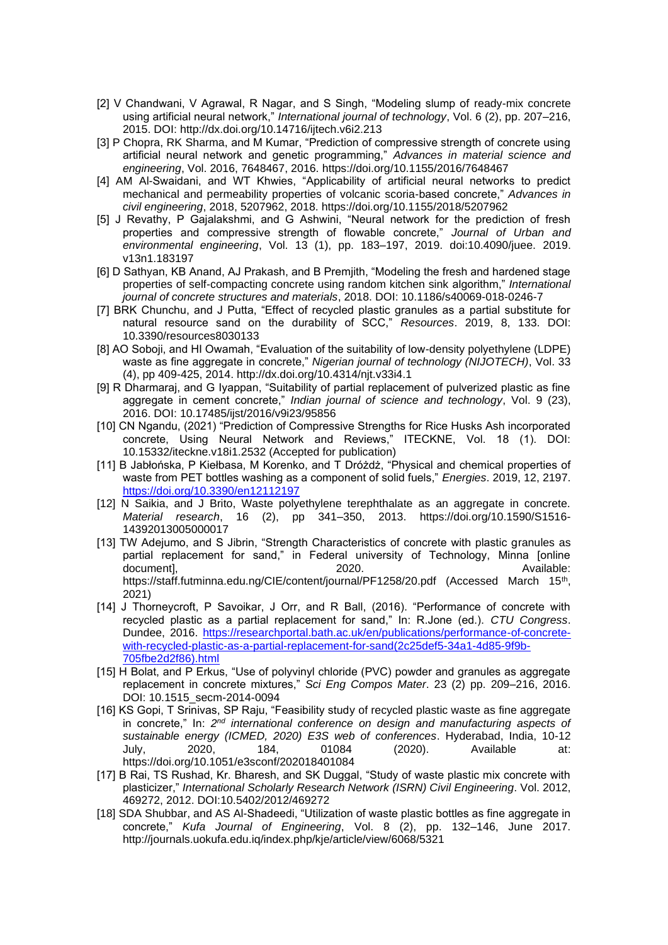- [2] V Chandwani, V Agrawal, R Nagar, and S Singh, "Modeling slump of ready-mix concrete using artificial neural network," *International journal of technology*, Vol. 6 (2), pp. 207–216, 2015. DOI:<http://dx.doi.org/10.14716/ijtech.v6i2.213>
- [3] P Chopra, RK Sharma, and M Kumar, "Prediction of compressive strength of concrete using artificial neural network and genetic programming," *Advances in material science and engineering*, Vol. 2016, 7648467, 2016.<https://doi.org/10.1155/2016/7648467>
- [4] AM Al-Swaidani, and WT Khwies, "Applicability of artificial neural networks to predict mechanical and permeability properties of volcanic scoria-based concrete," *Advances in civil engineering*, 2018, 5207962, 2018. https://doi.org/10.1155/2018/5207962
- [5] J Revathy, P Gajalakshmi, and G Ashwini, "Neural network for the prediction of fresh properties and compressive strength of flowable concrete," *Journal of Urban and environmental engineering*, Vol. 13 (1), pp. 183–197, 2019. doi:10.4090/juee. 2019. v13n1.183197
- [6] D Sathyan, KB Anand, AJ Prakash, and B Premjith, "Modeling the fresh and hardened stage properties of self-compacting concrete using random kitchen sink algorithm," *International journal of concrete structures and materials*, 2018. DOI: 10.1186/s40069-018-0246-7
- [7] BRK Chunchu, and J Putta, "Effect of recycled plastic granules as a partial substitute for natural resource sand on the durability of SCC," *Resources*. 2019, 8, 133. DOI: 10.3390/resources8030133
- [8] AO Soboji, and HI Owamah, "Evaluation of the suitability of low-density polyethylene (LDPE) waste as fine aggregate in concrete," *Nigerian journal of technology (NIJOTECH)*, Vol. 33 (4), pp 409-425, 2014. http://dx.doi.org/10.4314/njt.v33i4.1
- [9] R Dharmaraj, and G Iyappan, "Suitability of partial replacement of pulverized plastic as fine aggregate in cement concrete," *Indian journal of science and technology*, Vol. 9 (23), 2016. DOI: 10.17485/ijst/2016/v9i23/95856
- [10] CN Ngandu, (2021) "Prediction of Compressive Strengths for Rice Husks Ash incorporated concrete, Using Neural Network and Reviews," ITECKNE, Vol. 18 (1). DOI: 10.15332/iteckne.v18i1.2532 (Accepted for publication)
- [11] B Jabłońska, P Kiełbasa, M Korenko, and T Dróżdż, "Physical and chemical properties of waste from PET bottles washing as a component of solid fuels," *Energies*. 2019, 12, 2197. <https://doi.org/10.3390/en12112197>
- [12] N Saikia, and J Brito, Waste polyethylene terephthalate as an aggregate in concrete. *Material research*, 16 (2), pp 341–350, 2013. https://doi.org/10.1590/S1516- 14392013005000017
- [13] TW Adejumo, and S Jibrin, "Strength Characteristics of concrete with plastic granules as partial replacement for sand," in Federal university of Technology, Minna [online document], the contract of the contract of the 2020. The contract of the contract of the contract of the contract of the contract of the contract of the contract of the contract of the contract of the contract of the contr https://staff.futminna.edu.ng/CIE/content/journal/PF1258/20.pdf (Accessed March 15<sup>th</sup>, 2021)
- [14] J Thorneycroft, P Savoikar, J Orr, and R Ball, (2016). "Performance of concrete with recycled plastic as a partial replacement for sand," In: R.Jone (ed.). *CTU Congress*. Dundee, 2016. [https://researchportal.bath.ac.uk/en/publications/performance-of-concrete](https://researchportal.bath.ac.uk/en/publications/performance-of-concrete-with-recycled-plastic-as-a-partial-replacement-for-sand(2c25def5-34a1-4d85-9f9b-705fbe2d2f86).html)[with-recycled-plastic-as-a-partial-replacement-for-sand\(2c25def5-34a1-4d85-9f9b-](https://researchportal.bath.ac.uk/en/publications/performance-of-concrete-with-recycled-plastic-as-a-partial-replacement-for-sand(2c25def5-34a1-4d85-9f9b-705fbe2d2f86).html)[705fbe2d2f86\).html](https://researchportal.bath.ac.uk/en/publications/performance-of-concrete-with-recycled-plastic-as-a-partial-replacement-for-sand(2c25def5-34a1-4d85-9f9b-705fbe2d2f86).html)
- [15] H Bolat, and P Erkus, "Use of polyvinyl chloride (PVC) powder and granules as aggregate replacement in concrete mixtures," *Sci Eng Compos Mater*. 23 (2) pp. 209–216, 2016. DOI: 10.1515\_secm-2014-0094
- [16] KS Gopi, T Srinivas, SP Raju, "Feasibility study of recycled plastic waste as fine aggregate in concrete," In: 2<sup>nd</sup> international conference on design and manufacturing aspects of *sustainable energy (ICMED, 2020) E3S web of conferences*. Hyderabad, India, 10-12 July, 2020, 184, 01084 (2020). Available at: <https://doi.org/10.1051/e3sconf/202018401084>
- [17] B Rai, TS Rushad, Kr. Bharesh, and SK Duggal, "Study of waste plastic mix concrete with plasticizer," *International Scholarly Research Network (ISRN) Civil Engineering*. Vol. 2012, 469272, 2012. DOI:10.5402/2012/469272
- [18] SDA Shubbar, and AS Al-Shadeedi, "Utilization of waste plastic bottles as fine aggregate in concrete," *Kufa Journal of Engineering*, Vol. 8 (2), pp. 132–146, June 2017. <http://journals.uokufa.edu.iq/index.php/kje/article/view/6068/5321>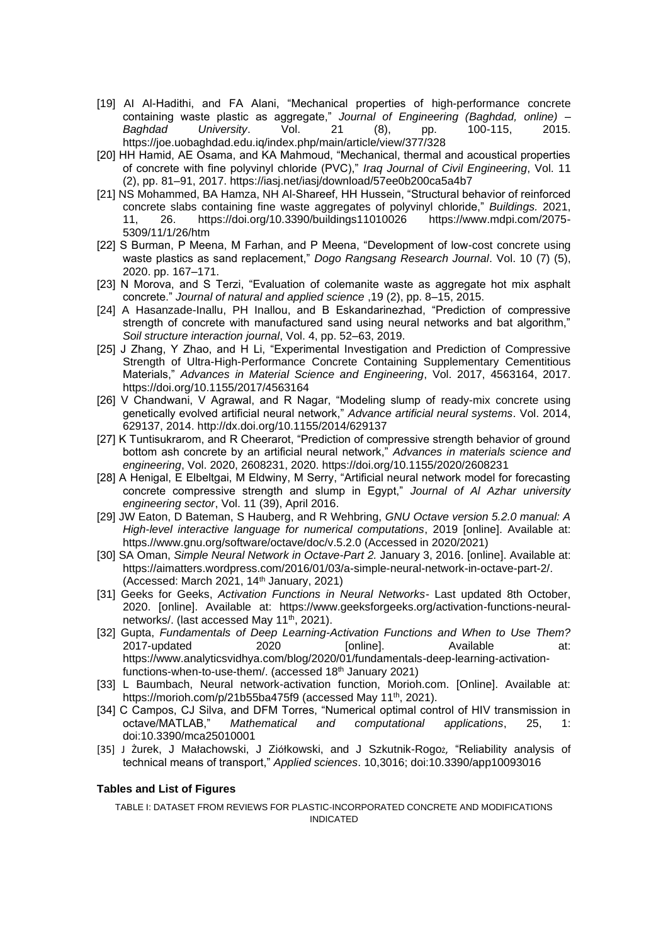- [19] AI Al-Hadithi, and FA Alani, "Mechanical properties of high-performance concrete containing waste plastic as aggregate," *Journal of Engineering (Baghdad, online) – Baghdad University*. Vol. 21 (8), pp. 100-115, 2015. <https://joe.uobaghdad.edu.iq/index.php/main/article/view/377/328>
- [20] HH Hamid, AE Osama, and KA Mahmoud, "Mechanical, thermal and acoustical properties of concrete with fine polyvinyl chloride (PVC)," *Iraq Journal of Civil Engineering*, Vol. 11 (2), pp. 81–91, 2017.<https://iasj.net/iasj/download/57ee0b200ca5a4b7>
- [21] NS Mohammed, BA Hamza, NH Al-Shareef, HH Hussein, "Structural behavior of reinforced concrete slabs containing fine waste aggregates of polyvinyl chloride," *Buildings.* 2021, 11, 26. https://doi.org/10.3390/buildings11010026 https://www.mdpi.com/2075- 5309/11/1/26/htm
- [22] S Burman, P Meena, M Farhan, and P Meena, "Development of low-cost concrete using waste plastics as sand replacement," *Dogo Rangsang Research Journal*. Vol. 10 (7) (5), 2020. pp. 167–171.
- [23] N Morova, and S Terzi, "Evaluation of colemanite waste as aggregate hot mix asphalt concrete." *Journal of natural and applied science* ,19 (2), pp. 8–15, 2015.
- [24] A Hasanzade-Inallu, PH Inallou, and B Eskandarinezhad, "Prediction of compressive strength of concrete with manufactured sand using neural networks and bat algorithm," *Soil structure interaction journal*, Vol. 4, pp. 52–63, 2019.
- [25] J Zhang, Y Zhao, and H Li, "Experimental Investigation and Prediction of Compressive Strength of Ultra-High-Performance Concrete Containing Supplementary Cementitious Materials," *Advances in Material Science and Engineering*, Vol. 2017, 4563164, 2017. <https://doi.org/10.1155/2017/4563164>
- [26] V Chandwani, V Agrawal, and R Nagar, "Modeling slump of ready-mix concrete using genetically evolved artificial neural network," *Advance artificial neural systems*. Vol. 2014, 629137, 2014.<http://dx.doi.org/10.1155/2014/629137>
- [27] K Tuntisukrarom, and R Cheerarot, "Prediction of compressive strength behavior of ground bottom ash concrete by an artificial neural network," *Advances in materials science and engineering*, Vol. 2020, 2608231, 2020. https://doi.org/10.1155/2020/2608231
- [28] A Henigal, E Elbeltgai, M Eldwiny, M Serry, "Artificial neural network model for forecasting concrete compressive strength and slump in Egypt," *Journal of Al Azhar university engineering sector*, Vol. 11 (39), April 2016.
- [29] JW Eaton, D Bateman, S Hauberg, and R Wehbring, *GNU Octave version 5.2.0 manual: A High-level interactive language for numerical computations*, 2019 [online]. Available at: https.//www.gnu.org/software/octave/doc/v.5.2.0 (Accessed in 2020/2021)
- [30] SA Oman, *Simple Neural Network in Octave-Part 2.* January 3, 2016. [online]. Available at: https://aimatters.wordpress.com/2016/01/03/a-simple-neural-network-in-octave-part-2/. (Accessed: March 2021, 14th January, 2021)
- [31] Geeks for Geeks, *Activation Functions in Neural Networks-* Last updated 8th October, 2020. [online]. Available at: https://www.geeksforgeeks.org/activation-functions-neuralnetworks/. (last accessed May 11<sup>th</sup>, 2021).
- [32] Gupta, *Fundamentals of Deep Learning-Activation Functions and When to Use Them?* 2017-updated 2020 [online]. Available at: [https://www.analyticsvidhya.com/blog/2020/01/fundamentals-deep-learning-activation](https://www.analyticsvidhya.com/blog/2020/01/fundamentals-deep-learning-activation-functions-when-to-use-them/)[functions-when-to-use-them/.](https://www.analyticsvidhya.com/blog/2020/01/fundamentals-deep-learning-activation-functions-when-to-use-them/) (accessed 18<sup>th</sup> January 2021)
- [33] L Baumbach, Neural network-activation function, Morioh.com. [Online]. Available at: <https://morioh.com/p/21b55ba475f9> (accessed May 11<sup>th</sup>, 2021).
- [34] C Campos, CJ Silva, and DFM Torres, "Numerical optimal control of HIV transmission in octave/MATLAB," *Mathematical and computational applications*, 25, 1: doi:10.3390/mca25010001
- [35] J Żurek, J Małachowski, J Ziółkowski, and J Szkutnik-Rogoz, "Reliability analysis of technical means of transport," *Applied sciences*. 10,3016; doi:10.3390/app10093016

#### **Tables and List of Figures**

TABLE I: DATASET FROM REVIEWS FOR PLASTIC-INCORPORATED CONCRETE AND MODIFICATIONS INDICATED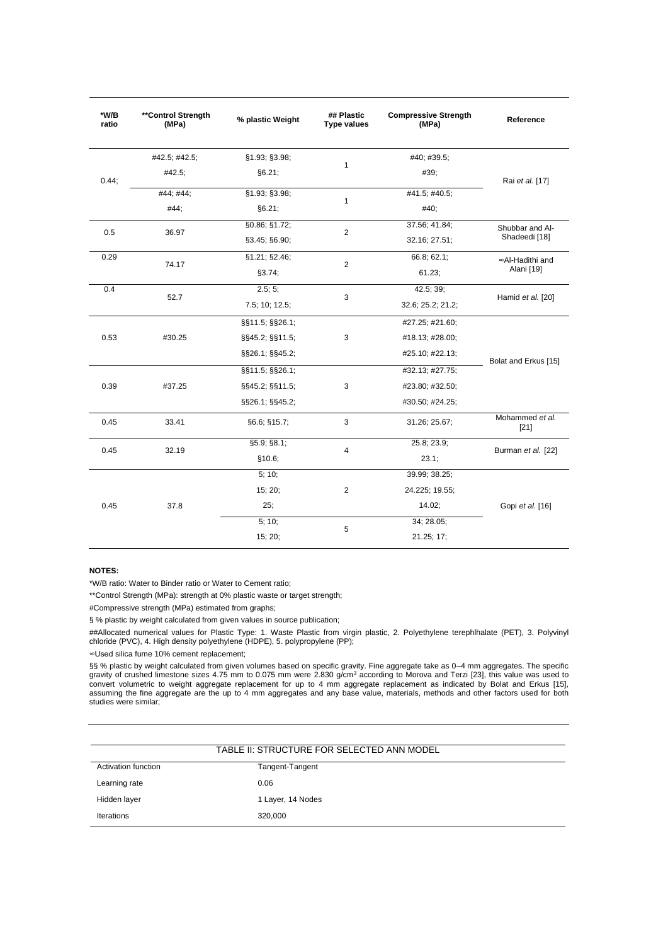| *W/B<br>ratio | **Control Strength<br>(MPa) | % plastic Weight | ## Plastic<br><b>Type values</b> | <b>Compressive Strength</b><br>(MPa) | Reference                                                                                                                      |
|---------------|-----------------------------|------------------|----------------------------------|--------------------------------------|--------------------------------------------------------------------------------------------------------------------------------|
|               | #42.5; #42.5;               | §1.93; §3.98;    |                                  | #40; #39.5;                          |                                                                                                                                |
| 0.44;         | #42.5;                      | §6.21;           | 1                                | #39;                                 | Rai et al. [17]                                                                                                                |
|               | #44; #44;                   | §1.93; §3.98;    |                                  | #41.5; #40.5;                        |                                                                                                                                |
|               | #44;                        | §6.21;           | 1                                | #40;                                 |                                                                                                                                |
|               |                             | §0.86; §1.72;    |                                  | 37.56; 41.84;                        | Shubbar and Al-                                                                                                                |
| 0.5           | 36.97                       | §3.45; §6.90;    | $\overline{2}$                   | 32.16; 27.51;                        | Shadeedi [18]                                                                                                                  |
| 0.29          |                             | §1.21; §2.46;    |                                  | 66.8; 62.1;                          | ∞Al-Hadithi and                                                                                                                |
|               | 74.17                       | §3.74;           | $\overline{\mathbf{c}}$          | 61.23;                               | Alani [19]<br>Hamid et al. [20]<br>Bolat and Erkus [15]<br>Mohammed et al.<br>$[21]$<br>Burman et al. [22]<br>Gopi et al. [16] |
| 0.4           |                             | 2.5; 5;          |                                  | 42.5; 39;                            |                                                                                                                                |
|               | 52.7                        | 7.5; 10; 12.5;   | 3                                | 32.6; 25.2; 21.2;                    |                                                                                                                                |
|               |                             | §§11.5; §§26.1;  |                                  | #27.25; #21.60;                      |                                                                                                                                |
| 0.53          | #30.25<br>§§45.2; §§11.5;   | 3                | #18.13; #28.00;                  |                                      |                                                                                                                                |
|               |                             | §§26.1; §§45.2;  |                                  | #25.10; #22.13;                      |                                                                                                                                |
|               |                             | §§11.5; §§26.1;  |                                  | #32.13; #27.75;                      |                                                                                                                                |
| 0.39          | #37.25                      | §§45.2; §§11.5;  | 3                                | #23.80; #32.50;                      |                                                                                                                                |
|               |                             | §§26.1; §§45.2;  |                                  | #30.50; #24.25;                      |                                                                                                                                |
| 0.45          | 33.41                       | §6.6; §15.7;     | 3                                | 31.26; 25.67;                        |                                                                                                                                |
|               | 32.19                       | §5.9; §8.1;      | 4                                | 25.8; 23.9;                          |                                                                                                                                |
| 0.45          |                             | \$10.6;          |                                  | 23.1;                                |                                                                                                                                |
|               |                             | 5; 10;           |                                  | 39.99; 38.25;                        |                                                                                                                                |
|               |                             | 15; 20;          | $\overline{\mathbf{c}}$          | 24.225; 19.55;                       |                                                                                                                                |
| 0.45          | 37.8                        | 25;<br>14.02;    |                                  |                                      |                                                                                                                                |
|               |                             | 5; 10;           | 5                                | 34; 28.05;                           |                                                                                                                                |
|               |                             | 15; 20;          |                                  | 21.25; 17;                           |                                                                                                                                |

#### **NOTES:**

\*W/B ratio: Water to Binder ratio or Water to Cement ratio;

\*\*Control Strength (MPa): strength at 0% plastic waste or target strength;

#Compressive strength (MPa) estimated from graphs;

§ % plastic by weight calculated from given values in source publication;

##Allocated numerical values for Plastic Type: 1. Waste Plastic from virgin plastic, 2. Polyethylene terephlhalate (PET), 3. Polyvinyl chloride (PVC), 4. High density polyethylene (HDPE), 5. polypropylene (PP);

∞Used silica fume 10% cement replacement;

§§ % plastic by weight calculated from given volumes based on specific gravity. Fine aggregate take as 0–4 mm aggregates. The specific<br>gravity of crushed limestone sizes 4.75 mm to 0.075 mm were 2.830 g/cm<sup>3</sup> according to convert volumetric to weight aggregate replacement for up to 4 mm aggregate replacement as indicated by Bolat and Erkus [15], assuming the fine aggregate are the up to 4 mm aggregates and any base value, materials, methods and other factors used for both studies were similar;

| TABLE II: STRUCTURE FOR SELECTED ANN MODEL |                   |  |  |  |
|--------------------------------------------|-------------------|--|--|--|
| Activation function                        | Tangent-Tangent   |  |  |  |
| Learning rate                              | 0.06              |  |  |  |
| Hidden layer                               | 1 Layer, 14 Nodes |  |  |  |
| Iterations                                 | 320.000           |  |  |  |